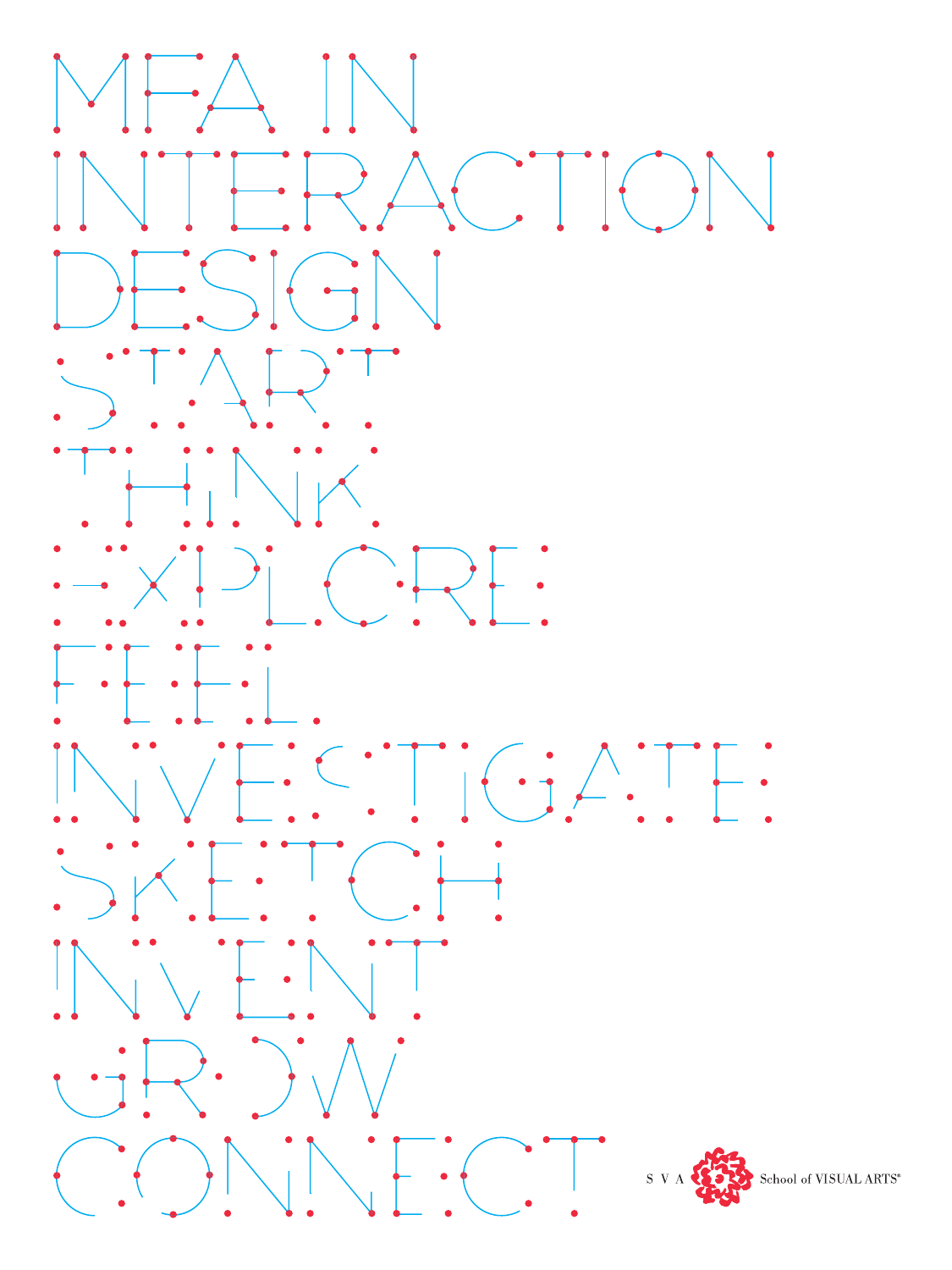